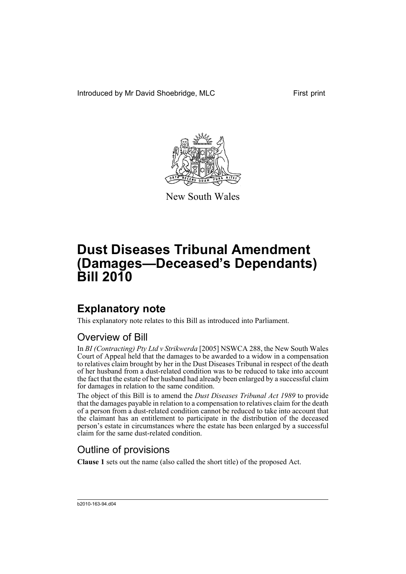Introduced by Mr David Shoebridge, MLC First print



New South Wales

# **Dust Diseases Tribunal Amendment (Damages—Deceased's Dependants) Bill 2010**

# **Explanatory note**

This explanatory note relates to this Bill as introduced into Parliament.

### Overview of Bill

In *BI (Contracting) Pty Ltd v Strikwerda* [2005] NSWCA 288, the New South Wales Court of Appeal held that the damages to be awarded to a widow in a compensation to relatives claim brought by her in the Dust Diseases Tribunal in respect of the death of her husband from a dust-related condition was to be reduced to take into account the fact that the estate of her husband had already been enlarged by a successful claim for damages in relation to the same condition.

The object of this Bill is to amend the *Dust Diseases Tribunal Act 1989* to provide that the damages payable in relation to a compensation to relatives claim for the death of a person from a dust-related condition cannot be reduced to take into account that the claimant has an entitlement to participate in the distribution of the deceased person's estate in circumstances where the estate has been enlarged by a successful claim for the same dust-related condition.

### Outline of provisions

**Clause 1** sets out the name (also called the short title) of the proposed Act.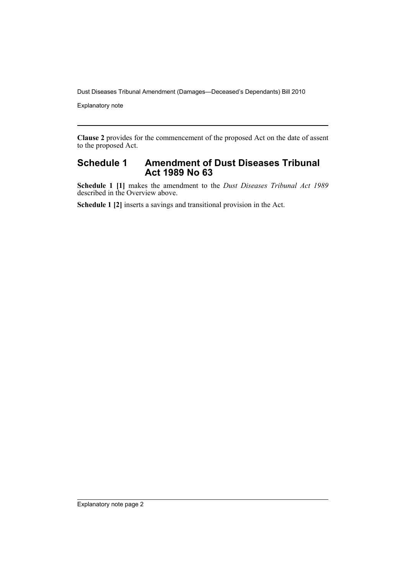Dust Diseases Tribunal Amendment (Damages—Deceased's Dependants) Bill 2010

Explanatory note

**Clause 2** provides for the commencement of the proposed Act on the date of assent to the proposed Act.

### **Schedule 1 Amendment of Dust Diseases Tribunal Act 1989 No 63**

**Schedule 1 [1]** makes the amendment to the *Dust Diseases Tribunal Act 1989* described in the Overview above.

**Schedule 1 [2]** inserts a savings and transitional provision in the Act.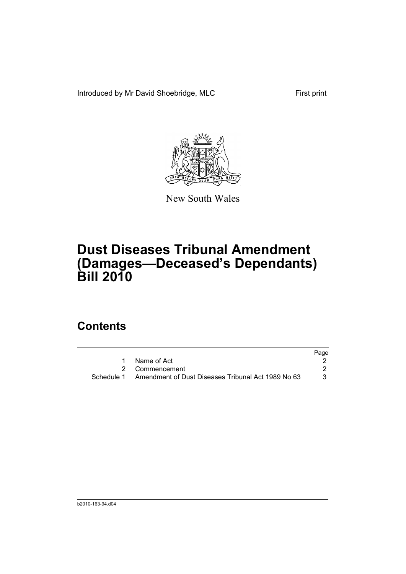Introduced by Mr David Shoebridge, MLC First print



New South Wales

# **Dust Diseases Tribunal Amendment (Damages—Deceased's Dependants) Bill 2010**

## **Contents**

|                                                               | Page |
|---------------------------------------------------------------|------|
| 1 Name of Act                                                 |      |
| 2 Commencement                                                |      |
| Schedule 1 Amendment of Dust Diseases Tribunal Act 1989 No 63 |      |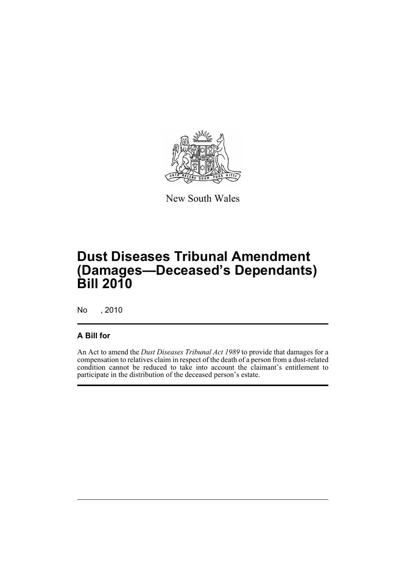

New South Wales

# **Dust Diseases Tribunal Amendment (Damages—Deceased's Dependants) Bill 2010**

No , 2010

### **A Bill for**

An Act to amend the *Dust Diseases Tribunal Act 1989* to provide that damages for a compensation to relatives claim in respect of the death of a person from a dust-related condition cannot be reduced to take into account the claimant's entitlement to participate in the distribution of the deceased person's estate.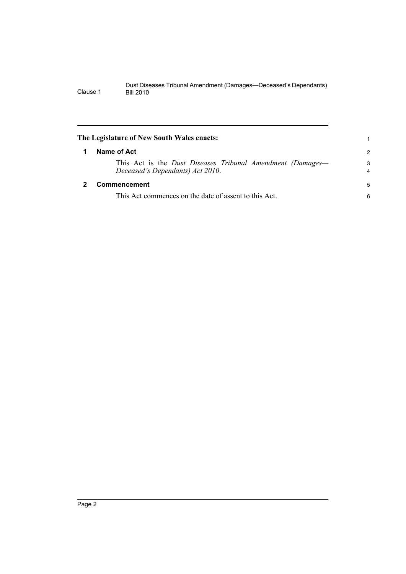<span id="page-5-1"></span><span id="page-5-0"></span>

| The Legislature of New South Wales enacts: |                                                                                                |                     |
|--------------------------------------------|------------------------------------------------------------------------------------------------|---------------------|
| 1                                          | Name of Act                                                                                    | $\overline{2}$      |
|                                            | This Act is the Dust Diseases Tribunal Amendment (Damages—<br>Deceased's Dependants) Act 2010. | 3<br>$\overline{4}$ |
|                                            | Commencement                                                                                   | 5                   |
|                                            | This Act commences on the date of assent to this Act.                                          | 6                   |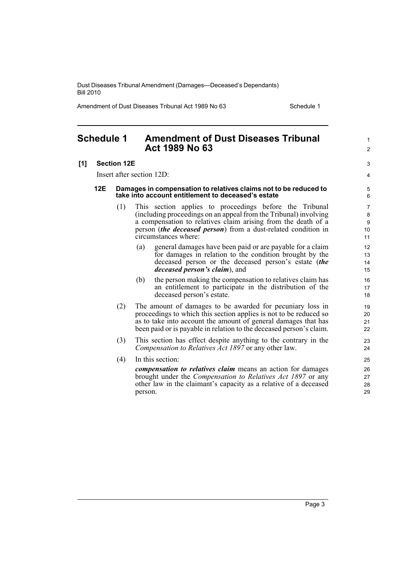Dust Diseases Tribunal Amendment (Damages—Deceased's Dependants) Bill 2010

Amendment of Dust Diseases Tribunal Act 1989 No 63 Schedule 1

1  $\mathfrak{p}$ 

### <span id="page-6-0"></span>**Schedule 1 Amendment of Dust Diseases Tribunal Act 1989 No 63**

#### **[1] Section 12E**

Insert after section 12D:

- **12E Damages in compensation to relatives claims not to be reduced to take into account entitlement to deceased's estate**
	- (1) This section applies to proceedings before the Tribunal (including proceedings on an appeal from the Tribunal) involving a compensation to relatives claim arising from the death of a person (*the deceased person*) from a dust-related condition in circumstances where:
		- (a) general damages have been paid or are payable for a claim for damages in relation to the condition brought by the deceased person or the deceased person's estate (*the deceased person's claim*), and
		- (b) the person making the compensation to relatives claim has an entitlement to participate in the distribution of the deceased person's estate.
	- (2) The amount of damages to be awarded for pecuniary loss in proceedings to which this section applies is not to be reduced so as to take into account the amount of general damages that has been paid or is payable in relation to the deceased person's claim.
	- (3) This section has effect despite anything to the contrary in the *Compensation to Relatives Act 1897* or any other law.
	- (4) In this section:

*compensation to relatives claim* means an action for damages brought under the *Compensation to Relatives Act 1897* or any other law in the claimant's capacity as a relative of a deceased person.